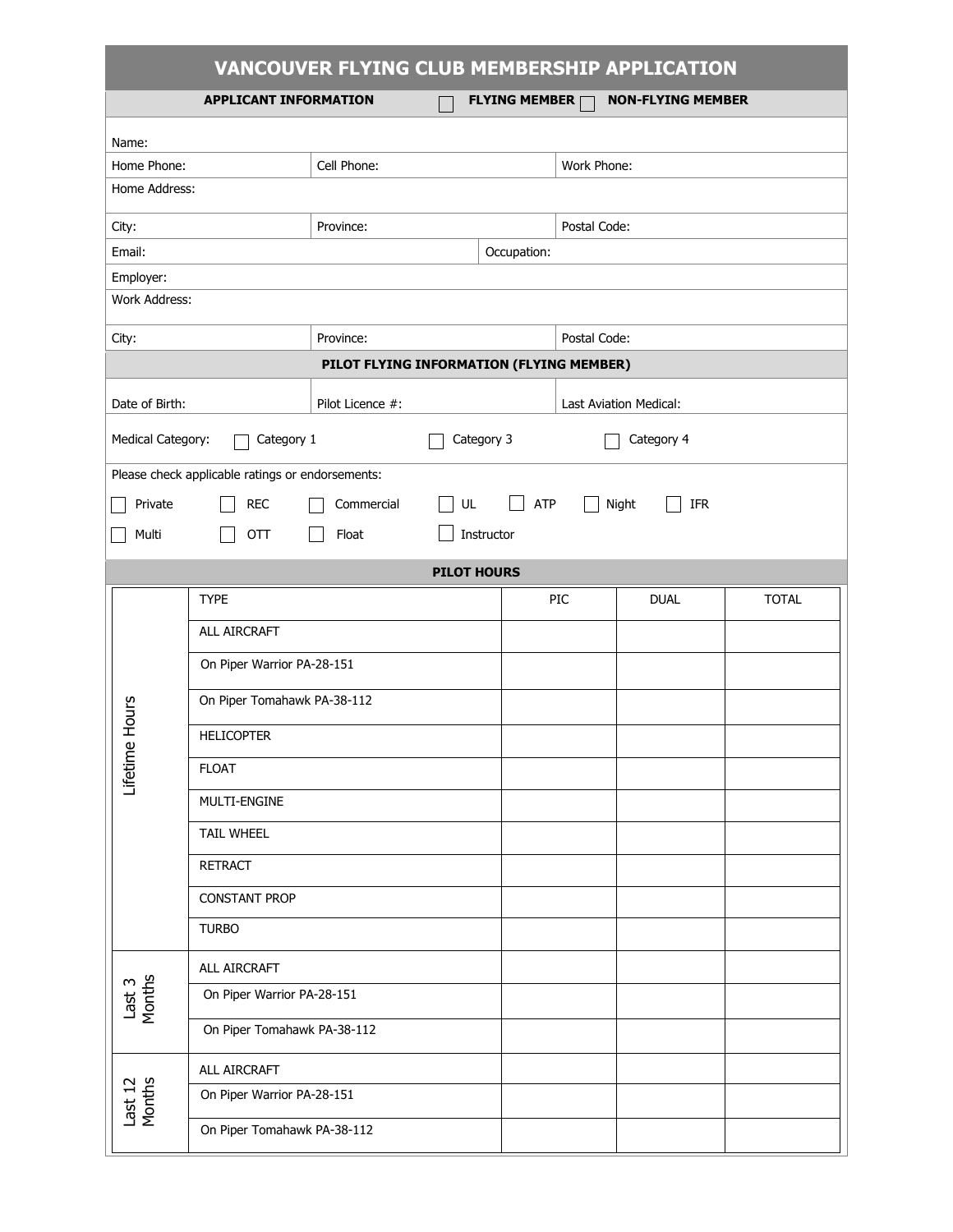| <b>VANCOUVER FLYING CLUB MEMBERSHIP APPLICATION</b>                              |                             |              |                          |  |     |             |              |  |  |  |
|----------------------------------------------------------------------------------|-----------------------------|--------------|--------------------------|--|-----|-------------|--------------|--|--|--|
| <b>APPLICANT INFORMATION</b><br><b>FLYING MEMBER</b><br><b>NON-FLYING MEMBER</b> |                             |              |                          |  |     |             |              |  |  |  |
| Name:                                                                            |                             |              |                          |  |     |             |              |  |  |  |
| Home Phone:<br>Cell Phone:                                                       |                             |              | Work Phone:              |  |     |             |              |  |  |  |
| Home Address:                                                                    |                             |              |                          |  |     |             |              |  |  |  |
| Province:<br>City:                                                               |                             | Postal Code: |                          |  |     |             |              |  |  |  |
| Email:                                                                           | Occupation:                 |              |                          |  |     |             |              |  |  |  |
| Employer:<br>Work Address:                                                       |                             |              |                          |  |     |             |              |  |  |  |
| Postal Code:<br>Province:<br>City:                                               |                             |              |                          |  |     |             |              |  |  |  |
| PILOT FLYING INFORMATION (FLYING MEMBER)                                         |                             |              |                          |  |     |             |              |  |  |  |
| Date of Birth:<br>Pilot Licence #:                                               |                             |              | Last Aviation Medical:   |  |     |             |              |  |  |  |
| Medical Category:<br>Category 1                                                  |                             |              | Category 3<br>Category 4 |  |     |             |              |  |  |  |
| Please check applicable ratings or endorsements:                                 |                             |              |                          |  |     |             |              |  |  |  |
| UL<br>Private<br><b>REC</b><br>Commercial<br><b>ATP</b><br>Night<br>IFR          |                             |              |                          |  |     |             |              |  |  |  |
| OTT<br>Multi<br>Float<br>Instructor                                              |                             |              |                          |  |     |             |              |  |  |  |
| <b>PILOT HOURS</b>                                                               |                             |              |                          |  |     |             |              |  |  |  |
| Hours<br>Lifetime                                                                | <b>TYPE</b>                 |              |                          |  | PIC | <b>DUAL</b> | <b>TOTAL</b> |  |  |  |
|                                                                                  | ALL AIRCRAFT                |              |                          |  |     |             |              |  |  |  |
|                                                                                  | On Piper Warrior PA-28-151  |              |                          |  |     |             |              |  |  |  |
|                                                                                  | On Piper Tomahawk PA-38-112 |              |                          |  |     |             |              |  |  |  |
|                                                                                  | <b>HELICOPTER</b>           |              |                          |  |     |             |              |  |  |  |
|                                                                                  | <b>FLOAT</b>                |              |                          |  |     |             |              |  |  |  |
|                                                                                  | MULTI-ENGINE                |              |                          |  |     |             |              |  |  |  |
|                                                                                  | <b>TAIL WHEEL</b>           |              |                          |  |     |             |              |  |  |  |
|                                                                                  | <b>RETRACT</b>              |              |                          |  |     |             |              |  |  |  |
|                                                                                  | <b>CONSTANT PROP</b>        |              |                          |  |     |             |              |  |  |  |
|                                                                                  | <b>TURBO</b>                |              |                          |  |     |             |              |  |  |  |
| Last 3<br>Months                                                                 | ALL AIRCRAFT                |              |                          |  |     |             |              |  |  |  |
|                                                                                  | On Piper Warrior PA-28-151  |              |                          |  |     |             |              |  |  |  |
|                                                                                  | On Piper Tomahawk PA-38-112 |              |                          |  |     |             |              |  |  |  |
| Last 12<br>Months                                                                | ALL AIRCRAFT                |              |                          |  |     |             |              |  |  |  |
|                                                                                  | On Piper Warrior PA-28-151  |              |                          |  |     |             |              |  |  |  |
|                                                                                  | On Piper Tomahawk PA-38-112 |              |                          |  |     |             |              |  |  |  |